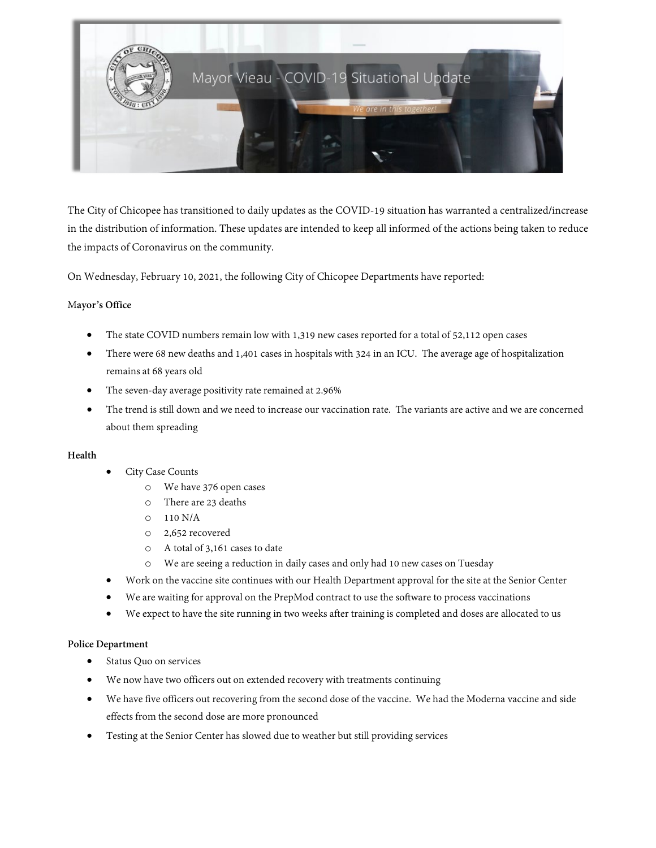

The City of Chicopee has transitioned to daily updates as the COVID-19 situation has warranted a centralized/increase in the distribution of information. These updates are intended to keep all informed of the actions being taken to reduce the impacts of Coronavirus on the community.

On Wednesday, February 10, 2021, the following City of Chicopee Departments have reported:

# M**ayor's Office**

- The state COVID numbers remain low with 1,319 new cases reported for a total of 52,112 open cases
- There were 68 new deaths and 1,401 cases in hospitals with 324 in an ICU. The average age of hospitalization remains at 68 years old
- The seven-day average positivity rate remained at 2.96%
- The trend is still down and we need to increase our vaccination rate. The variants are active and we are concerned about them spreading

# **Health**

- City Case Counts
	- o We have 376 open cases
	- o There are 23 deaths
	- o 110 N/A
	- o 2,652 recovered
	- o A total of 3,161 cases to date
	- o We are seeing a reduction in daily cases and only had 10 new cases on Tuesday
- Work on the vaccine site continues with our Health Department approval for the site at the Senior Center
- We are waiting for approval on the PrepMod contract to use the software to process vaccinations
- We expect to have the site running in two weeks after training is completed and doses are allocated to us

# **Police Department**

- Status Quo on services
- We now have two officers out on extended recovery with treatments continuing
- We have five officers out recovering from the second dose of the vaccine. We had the Moderna vaccine and side effects from the second dose are more pronounced
- Testing at the Senior Center has slowed due to weather but still providing services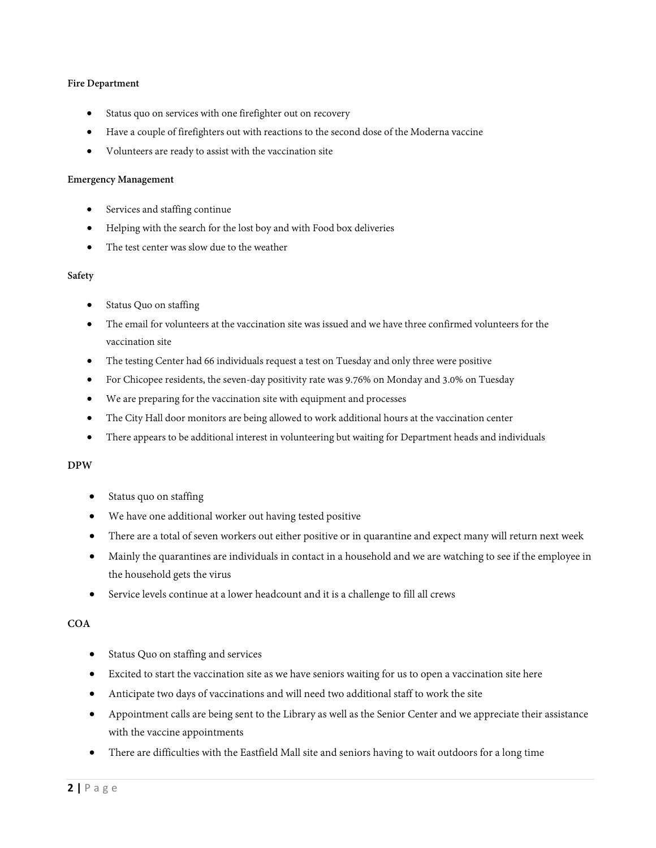# **Fire Department**

- Status quo on services with one firefighter out on recovery
- Have a couple of firefighters out with reactions to the second dose of the Moderna vaccine
- Volunteers are ready to assist with the vaccination site

### **Emergency Management**

- Services and staffing continue
- Helping with the search for the lost boy and with Food box deliveries
- The test center was slow due to the weather

#### **Safety**

- Status Quo on staffing
- The email for volunteers at the vaccination site was issued and we have three confirmed volunteers for the vaccination site
- The testing Center had 66 individuals request a test on Tuesday and only three were positive
- For Chicopee residents, the seven-day positivity rate was 9.76% on Monday and 3.0% on Tuesday
- We are preparing for the vaccination site with equipment and processes
- The City Hall door monitors are being allowed to work additional hours at the vaccination center
- There appears to be additional interest in volunteering but waiting for Department heads and individuals

# **DPW**

- Status quo on staffing
- We have one additional worker out having tested positive
- There are a total of seven workers out either positive or in quarantine and expect many will return next week
- Mainly the quarantines are individuals in contact in a household and we are watching to see if the employee in the household gets the virus
- Service levels continue at a lower headcount and it is a challenge to fill all crews

# **COA**

- Status Quo on staffing and services
- Excited to start the vaccination site as we have seniors waiting for us to open a vaccination site here
- Anticipate two days of vaccinations and will need two additional staff to work the site
- Appointment calls are being sent to the Library as well as the Senior Center and we appreciate their assistance with the vaccine appointments
- There are difficulties with the Eastfield Mall site and seniors having to wait outdoors for a long time